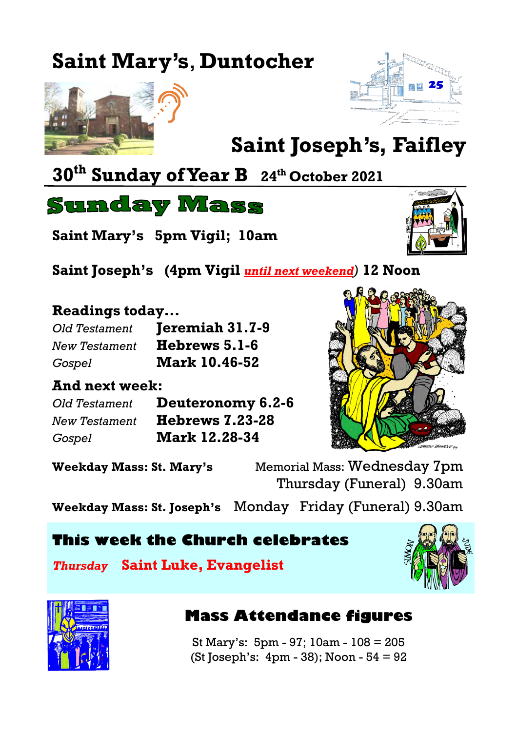# **Saint Mary's**, **Duntocher**





# **Saint Joseph's, Faifley**

## **30th Sunday of Year B <sup>24</sup>th October 2021**

**Sunday Mass** 

**Saint Mary's 5pm Vigil; 10am**



**Saint Joseph's (4pm Vigil** *until next weekend)* **12 Noon**

#### **Readings today...**

| Old Testament        | Jeremiah 31.7-9      |
|----------------------|----------------------|
| <b>New Testament</b> | Hebrews 5.1-6        |
| Gospel               | <b>Mark 10.46-52</b> |

#### **And next week:**

*Old Testament* **Deuteronomy 6.2-6** *New Testament* **Hebrews 7.23-28** *Gospel* **Mark 12.28-34**



**Weekday Mass: St. Mary's** Memorial Mass: Wednesday 7pm Thursday (Funeral) 9.30am

**Weekday Mass: St. Joseph's** Monday Friday (Funeral) 9.30am

#### **This week the Church celebrates**

*Thursday* **Saint Luke, Evangelist**





#### **Mass Attendance figures**

St Mary's: 5pm - 97; 10am - 108 = 205 (St Joseph's: 4pm - 38); Noon - 54 = 92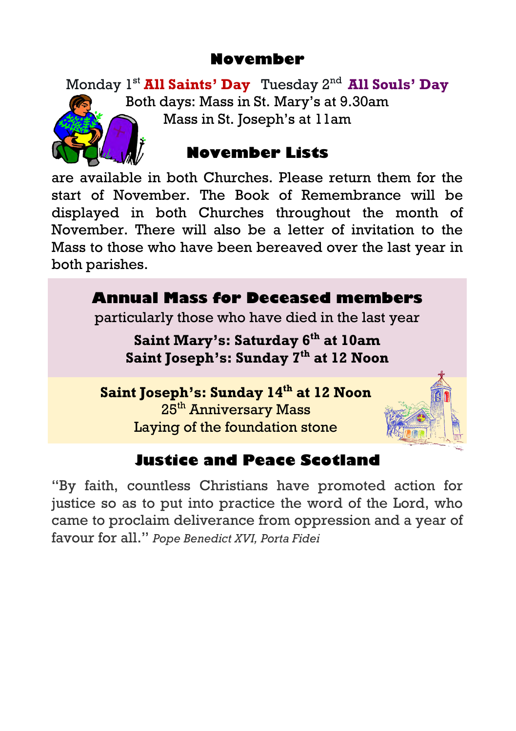#### **November**

Monday 1st **All Saints' Day** Tuesday 2nd **All Souls' Day**  Both days: Mass in St. Mary's at 9.30am Mass in St. Joseph's at 11am



#### **November Lists**

are available in both Churches. Please return them for the start of November. The Book of Remembrance will be displayed in both Churches throughout the month of November. There will also be a letter of invitation to the Mass to those who have been bereaved over the last year in both parishes.



### **Justice and Peace Scotland**

"By faith, countless Christians have promoted action for justice so as to put into practice the word of the Lord, who came to proclaim deliverance from oppression and a year of favour for all." *Pope Benedict XVI, Porta Fidei*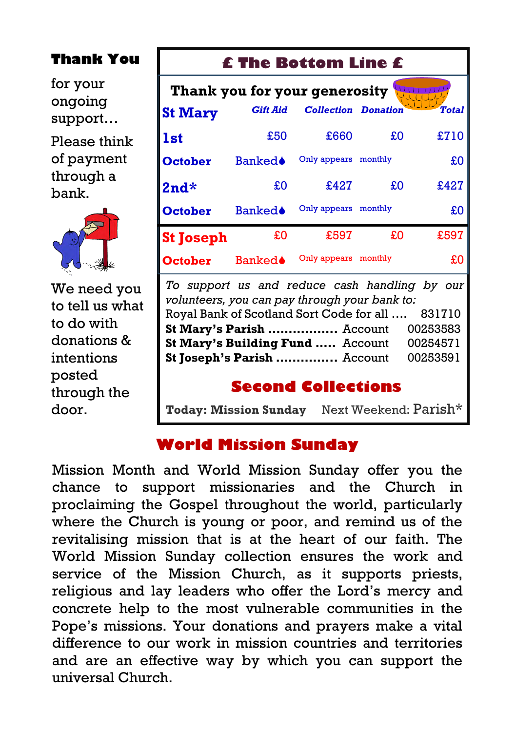#### **Thank You**

for your ongoing support…

Please think of payment through a bank.



We need you to tell us what to do with donations & intentions posted through the door.

#### **£ The Bottom Line £**

| Thank you for your generosity |                 |                            |         |              |  |
|-------------------------------|-----------------|----------------------------|---------|--------------|--|
| <b>St Mary</b>                | <b>Gift Aid</b> | <b>Collection Donation</b> |         | <b>Total</b> |  |
| 1st                           | £50             | £660                       | £O      | £710         |  |
| <b>October</b>                | Banked≜         | Only appears monthly       |         | £O           |  |
| $2nd*$                        | £O              | £427                       | £O      | £427         |  |
| <b>October</b>                | <b>Banked</b>   | Only appears monthly       |         | £O           |  |
| <b>St Joseph</b>              | £0              | £597                       | £0      | £597         |  |
| <b>October</b>                | Banked≜         | Only appears               | monthly | £0           |  |

*To support us and reduce cash handling by our volunteers, you can pay through your bank to:* Royal Bank of Scotland Sort Code for all …. 831710 **St Mary's Parish .................** Account 00253583 **St Mary's Building Fund .....** Account 00254571 **St Joseph's Parish ...............** Account 00253591

#### **Second Collections**

**Today: Mission Sunday** Next Weekend: Parish\*

#### **World Mission Sunday**

Mission Month and World Mission Sunday offer you the chance to support missionaries and the Church in proclaiming the Gospel throughout the world, particularly where the Church is young or poor, and remind us of the revitalising mission that is at the heart of our faith. The World Mission Sunday collection ensures the work and service of the Mission Church, as it supports priests, religious and lay leaders who offer the Lord's mercy and concrete help to the most vulnerable communities in the Pope's missions. Your donations and prayers make a vital difference to our work in mission countries and territories and are an effective way by which you can support the universal Church.